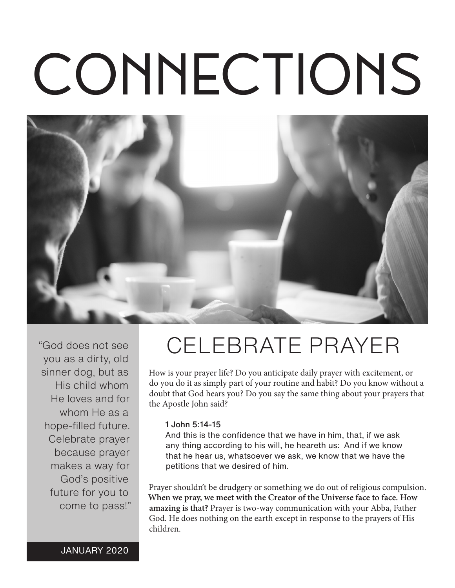# CONNECTIONS



"God does not see you as a dirty, old sinner dog, but as His child whom He loves and for whom He as a hope-filled future. Celebrate prayer because prayer makes a way for God's positive future for you to come to pass!"

# CELEBRATE PRAYER

How is your prayer life? Do you anticipate daily prayer with excitement, or do you do it as simply part of your routine and habit? Do you know without a doubt that God hears you? Do you say the same thing about your prayers that the Apostle John said?

#### 1 John 5:14-15

And this is the confidence that we have in him, that, if we ask any thing according to his will, he heareth us: And if we know that he hear us, whatsoever we ask, we know that we have the petitions that we desired of him.

Prayer shouldn't be drudgery or something we do out of religious compulsion. **When we pray, we meet with the Creator of the Universe face to face. How amazing is that?** Prayer is two-way communication with your Abba, Father God. He does nothing on the earth except in response to the prayers of His children.

JANUARY 2020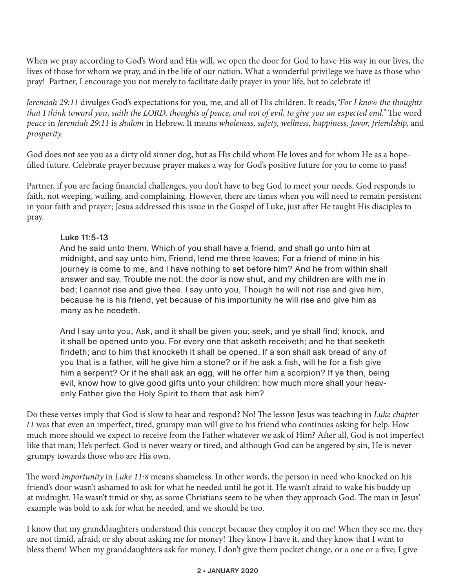When we pray according to God's Word and His will, we open the door for God to have His way in our lives, the lives of those for whom we pray, and in the life of our nation. What a wonderful privilege we have as those who pray! Partner, I encourage you not merely to facilitate daily prayer in your life, but to celebrate it!

*Jeremiah 29:11* divulges God's expectations for you, me, and all of His children. It reads,*"For I know the thoughts that I think toward you, saith the LORD, thoughts of peace, and not of evil, to give you an expected end."* The word *peace* in *Jeremiah 29:11* is *shalom* in Hebrew. It means *wholeness, safety, wellness, happiness, favor, friendship,* and *prosperity.* 

God does not see you as a dirty old sinner dog, but as His child whom He loves and for whom He as a hopefilled future. Celebrate prayer because prayer makes a way for God's positive future for you to come to pass!

Partner, if you are facing financial challenges, you don't have to beg God to meet your needs. God responds to faith, not weeping, wailing, and complaining. However, there are times when you will need to remain persistent in your faith and prayer; Jesus addressed this issue in the Gospel of Luke, just after He taught His disciples to pray.

#### Luke 11:5-13

And he said unto them, Which of you shall have a friend, and shall go unto him at midnight, and say unto him, Friend, lend me three loaves; For a friend of mine in his journey is come to me, and I have nothing to set before him? And he from within shall answer and say, Trouble me not: the door is now shut, and my children are with me in bed; I cannot rise and give thee. I say unto you, Though he will not rise and give him, because he is his friend, yet because of his importunity he will rise and give him as many as he needeth.

And I say unto you, Ask, and it shall be given you; seek, and ye shall find; knock, and it shall be opened unto you. For every one that asketh receiveth; and he that seeketh findeth; and to him that knocketh it shall be opened. If a son shall ask bread of any of you that is a father, will he give him a stone? or if he ask a fish, will he for a fish give him a serpent? Or if he shall ask an egg, will he offer him a scorpion? If ye then, being evil, know how to give good gifts unto your children: how much more shall your heavenly Father give the Holy Spirit to them that ask him?

Do these verses imply that God is slow to hear and respond? No! The lesson Jesus was teaching in *Luke chapter 11* was that even an imperfect, tired, grumpy man will give to his friend who continues asking for help. How much more should we expect to receive from the Father whatever we ask of Him? After all, God is not imperfect like that man; He's perfect. God is never weary or tired, and although God can be angered by sin, He is never grumpy towards those who are His own.

The word *importunity* in *Luke 11:8* means shameless. In other words, the person in need who knocked on his friend's door wasn't ashamed to ask for what he needed until he got it. He wasn't afraid to wake his buddy up at midnight. He wasn't timid or shy, as some Christians seem to be when they approach God. The man in Jesus' example was bold to ask for what he needed, and we should be too.

I know that my granddaughters understand this concept because they employ it on me! When they see me, they are not timid, afraid, or shy about asking me for money! They know I have it, and they know that I want to bless them! When my granddaughters ask for money, I don't give them pocket change, or a one or a five; I give

#### 2 • JANUARY 2020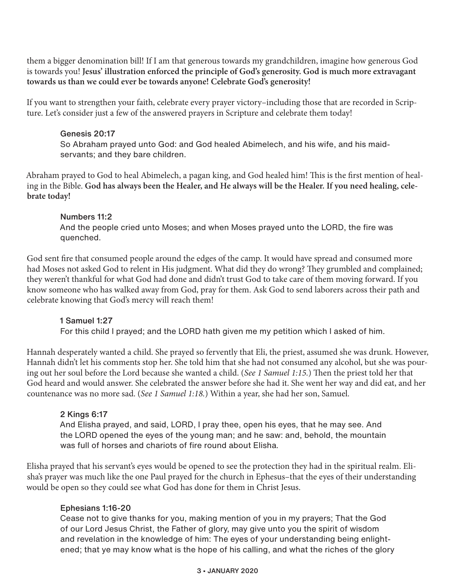them a bigger denomination bill! If I am that generous towards my grandchildren, imagine how generous God is towards you! **Jesus' illustration enforced the principle of God's generosity. God is much more extravagant towards us than we could ever be towards anyone! Celebrate God's generosity!**

If you want to strengthen your faith, celebrate every prayer victory–including those that are recorded in Scripture. Let's consider just a few of the answered prayers in Scripture and celebrate them today!

### Genesis 20:17

So Abraham prayed unto God: and God healed Abimelech, and his wife, and his maidservants; and they bare children.

Abraham prayed to God to heal Abimelech, a pagan king, and God healed him! This is the first mention of healing in the Bible. **God has always been the Healer, and He always will be the Healer. If you need healing, celebrate today!**

#### Numbers 11:2

And the people cried unto Moses; and when Moses prayed unto the LORD, the fire was quenched.

God sent fire that consumed people around the edges of the camp. It would have spread and consumed more had Moses not asked God to relent in His judgment. What did they do wrong? They grumbled and complained; they weren't thankful for what God had done and didn't trust God to take care of them moving forward. If you know someone who has walked away from God, pray for them. Ask God to send laborers across their path and celebrate knowing that God's mercy will reach them!

# 1 Samuel 1:27

For this child I prayed; and the LORD hath given me my petition which I asked of him.

Hannah desperately wanted a child. She prayed so fervently that Eli, the priest, assumed she was drunk. However, Hannah didn't let his comments stop her. She told him that she had not consumed any alcohol, but she was pouring out her soul before the Lord because she wanted a child. (*See 1 Samuel 1:15.*) Then the priest told her that God heard and would answer. She celebrated the answer before she had it. She went her way and did eat, and her countenance was no more sad. (*See 1 Samuel 1:18.*) Within a year, she had her son, Samuel.

# 2 Kings 6:17

And Elisha prayed, and said, LORD, I pray thee, open his eyes, that he may see. And the LORD opened the eyes of the young man; and he saw: and, behold, the mountain was full of horses and chariots of fire round about Elisha.

Elisha prayed that his servant's eyes would be opened to see the protection they had in the spiritual realm. Elisha's prayer was much like the one Paul prayed for the church in Ephesus–that the eyes of their understanding would be open so they could see what God has done for them in Christ Jesus.

#### Ephesians 1:16-20

Cease not to give thanks for you, making mention of you in my prayers; That the God of our Lord Jesus Christ, the Father of glory, may give unto you the spirit of wisdom and revelation in the knowledge of him: The eyes of your understanding being enlightened; that ye may know what is the hope of his calling, and what the riches of the glory